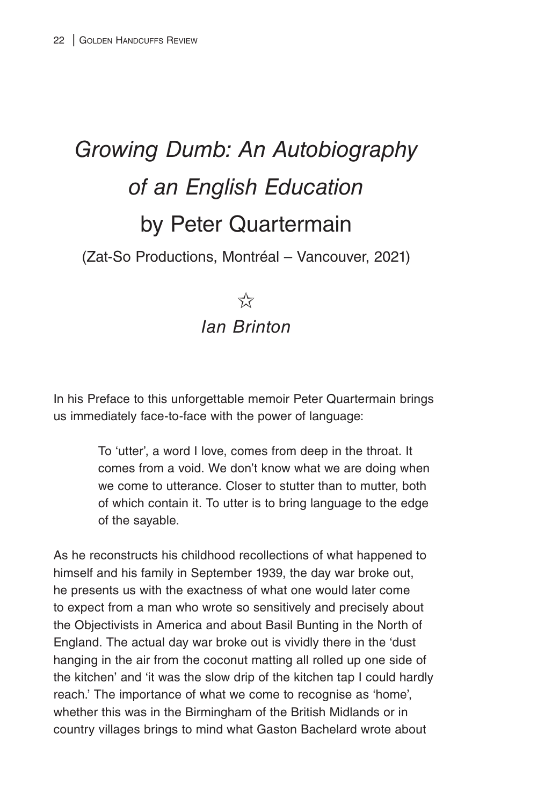## *Growing Dumb: An Autobiography of an English Education* by Peter Quartermain

(Zat-So Productions, Montréal – Vancouver, 2021)

## $5\frac{1}{2}$ *Ian Brinton*

In his Preface to this unforgettable memoir Peter Quartermain brings us immediately face-to-face with the power of language:

> To 'utter', a word I love, comes from deep in the throat. It comes from a void. We don't know what we are doing when we come to utterance. Closer to stutter than to mutter, both of which contain it. To utter is to bring language to the edge of the sayable.

As he reconstructs his childhood recollections of what happened to himself and his family in September 1939, the day war broke out, he presents us with the exactness of what one would later come to expect from a man who wrote so sensitively and precisely about the Objectivists in America and about Basil Bunting in the North of England. The actual day war broke out is vividly there in the 'dust hanging in the air from the coconut matting all rolled up one side of the kitchen' and 'it was the slow drip of the kitchen tap I could hardly reach.' The importance of what we come to recognise as 'home', whether this was in the Birmingham of the British Midlands or in country villages brings to mind what Gaston Bachelard wrote about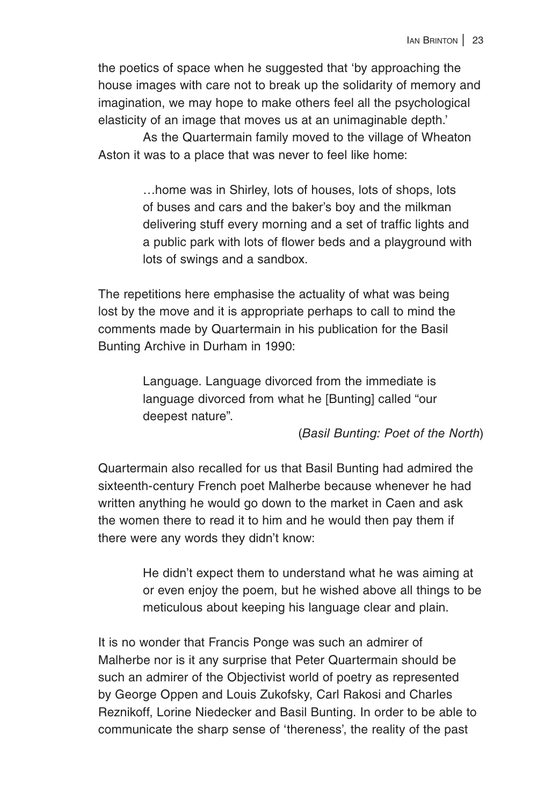the poetics of space when he suggested that 'by approaching the house images with care not to break up the solidarity of memory and imagination, we may hope to make others feel all the psychological elasticity of an image that moves us at an unimaginable depth.'

As the Quartermain family moved to the village of Wheaton Aston it was to a place that was never to feel like home:

> …home was in Shirley, lots of houses, lots of shops, lots of buses and cars and the baker's boy and the milkman delivering stuff every morning and a set of traffic lights and a public park with lots of flower beds and a playground with lots of swings and a sandbox.

The repetitions here emphasise the actuality of what was being lost by the move and it is appropriate perhaps to call to mind the comments made by Quartermain in his publication for the Basil Bunting Archive in Durham in 1990:

> Language. Language divorced from the immediate is language divorced from what he [Bunting] called "our deepest nature".

## (*Basil Bunting: Poet of the North*)

Quartermain also recalled for us that Basil Bunting had admired the sixteenth-century French poet Malherbe because whenever he had written anything he would go down to the market in Caen and ask the women there to read it to him and he would then pay them if there were any words they didn't know:

> He didn't expect them to understand what he was aiming at or even enjoy the poem, but he wished above all things to be meticulous about keeping his language clear and plain.

It is no wonder that Francis Ponge was such an admirer of Malherbe nor is it any surprise that Peter Quartermain should be such an admirer of the Objectivist world of poetry as represented by George Oppen and Louis Zukofsky, Carl Rakosi and Charles Reznikoff, Lorine Niedecker and Basil Bunting. In order to be able to communicate the sharp sense of 'thereness', the reality of the past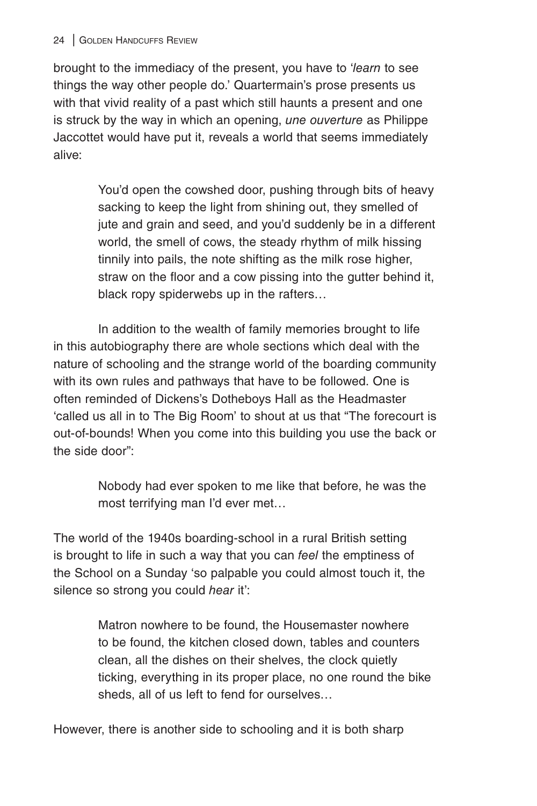brought to the immediacy of the present, you have to '*learn* to see things the way other people do.' Quartermain's prose presents us with that vivid reality of a past which still haunts a present and one is struck by the way in which an opening, *une ouverture* as Philippe Jaccottet would have put it, reveals a world that seems immediately alive:

> You'd open the cowshed door, pushing through bits of heavy sacking to keep the light from shining out, they smelled of jute and grain and seed, and you'd suddenly be in a different world, the smell of cows, the steady rhythm of milk hissing tinnily into pails, the note shifting as the milk rose higher, straw on the floor and a cow pissing into the gutter behind it, black ropy spiderwebs up in the rafters…

In addition to the wealth of family memories brought to life in this autobiography there are whole sections which deal with the nature of schooling and the strange world of the boarding community with its own rules and pathways that have to be followed. One is often reminded of Dickens's Dotheboys Hall as the Headmaster 'called us all in to The Big Room' to shout at us that "The forecourt is out-of-bounds! When you come into this building you use the back or the side door":

> Nobody had ever spoken to me like that before, he was the most terrifying man I'd ever met…

The world of the 1940s boarding-school in a rural British setting is brought to life in such a way that you can *feel* the emptiness of the School on a Sunday 'so palpable you could almost touch it, the silence so strong you could *hear* it':

> Matron nowhere to be found, the Housemaster nowhere to be found, the kitchen closed down, tables and counters clean, all the dishes on their shelves, the clock quietly ticking, everything in its proper place, no one round the bike sheds, all of us left to fend for ourselves…

However, there is another side to schooling and it is both sharp